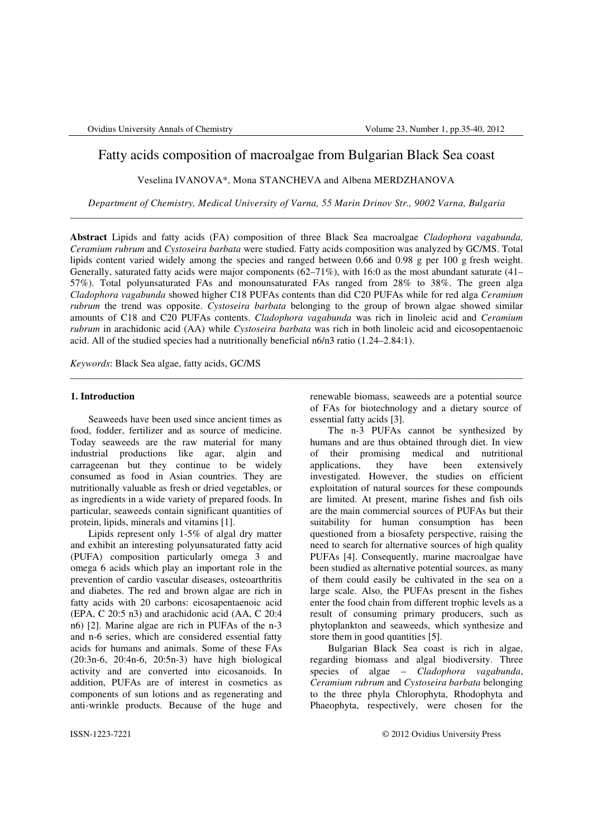# Fatty acids composition of macroalgae from Bulgarian Black Sea coast

Veselina IVANOVA\*, Mona STANCHEVA and Albena MERDZHANOVA

*Department of Chemistry, Medical University of Varna, 55 Marin Drinov Str., 9002 Varna, Bulgaria* \_\_\_\_\_\_\_\_\_\_\_\_\_\_\_\_\_\_\_\_\_\_\_\_\_\_\_\_\_\_\_\_\_\_\_\_\_\_\_\_\_\_\_\_\_\_\_\_\_\_\_\_\_\_\_\_\_\_\_\_\_\_\_\_\_\_\_\_\_\_\_\_\_\_\_\_\_\_\_\_\_\_\_\_\_\_\_\_\_\_\_

**Abstract** Lipids and fatty acids (FA) composition of three Black Sea macroalgae *Cladophora vagabunda, Ceramium rubrum* and *Cystoseira barbata* were studied. Fatty acids composition was analyzed by GC/MS. Total lipids content varied widely among the species and ranged between 0.66 and 0.98 g per 100 g fresh weight. Generally, saturated fatty acids were major components (62–71%), with 16:0 as the most abundant saturate (41– 57%). Total polyunsaturated FAs and monounsaturated FAs ranged from 28% to 38%. The green alga *Cladophora vagabunda* showed higher C18 PUFAs contents than did C20 PUFAs while for red alga *Ceramium rubrum* the trend was opposite. *Cystoseira barbata* belonging to the group of brown algae showed similar amounts of C18 and C20 PUFAs contents. *Cladophora vagabunda* was rich in linoleic acid and *Ceramium rubrum* in arachidonic acid (AA) while *Cystoseira barbata* was rich in both linoleic acid and eicosopentaenoic acid. All of the studied species had a nutritionally beneficial n6/n3 ratio (1.24–2.84:1).

\_\_\_\_\_\_\_\_\_\_\_\_\_\_\_\_\_\_\_\_\_\_\_\_\_\_\_\_\_\_\_\_\_\_\_\_\_\_\_\_\_\_\_\_\_\_\_\_\_\_\_\_\_\_\_\_\_\_\_\_\_\_\_\_\_\_\_\_\_\_\_\_\_\_\_\_\_\_\_\_\_\_\_\_\_\_\_\_\_\_\_

*Keywords*: Black Sea algae, fatty acids, GC/MS

# **1. Introduction**

 Seaweeds have been used since ancient times as food, fodder, fertilizer and as source of medicine. Today seaweeds are the raw material for many industrial productions like agar, algin and carrageenan but they continue to be widely consumed as food in Asian countries. They are nutritionally valuable as fresh or dried vegetables, or as ingredients in a wide variety of prepared foods. In particular, seaweeds contain significant quantities of protein, lipids, minerals and vitamins [1].

 Lipids represent only 1-5% of algal dry matter and exhibit an interesting polyunsaturated fatty acid (PUFA) composition particularly omega 3 and omega 6 acids which play an important role in the prevention of cardio vascular diseases, osteoarthritis and diabetes. The red and brown algae are rich in fatty acids with 20 carbons: eicosapentaenoic acid (EPA, C 20:5 n3) and arachidonic acid (AA, C 20:4 n6) [2]. Marine algae are rich in PUFAs of the n-3 and n-6 series, which are considered essential fatty acids for humans and animals. Some of these FAs (20:3n-6, 20:4n-6, 20:5n-3) have high biological activity and are converted into eicosanoids. In addition, PUFAs are of interest in cosmetics as components of sun lotions and as regenerating and anti-wrinkle products. Because of the huge and

renewable biomass, seaweeds are a potential source of FAs for biotechnology and a dietary source of essential fatty acids [3].

The n-3 PUFAs cannot be synthesized by humans and are thus obtained through diet. In view of their promising medical and nutritional applications, they have been extensively investigated. However, the studies on efficient exploitation of natural sources for these compounds are limited. At present, marine fishes and fish oils are the main commercial sources of PUFAs but their suitability for human consumption has been questioned from a biosafety perspective, raising the need to search for alternative sources of high quality PUFAs [4]. Consequently, marine macroalgae have been studied as alternative potential sources, as many of them could easily be cultivated in the sea on a large scale. Also, the PUFAs present in the fishes enter the food chain from different trophic levels as a result of consuming primary producers, such as phytoplankton and seaweeds, which synthesize and store them in good quantities [5].

Bulgarian Black Sea coast is rich in algae, regarding biomass and algal biodiversity. Three species of algae – *Cladophora vagabunda*, *Ceramium rubrum* and *Cystoseira barbata* belonging to the three phyla Chlorophyta, Rhodophyta and Phaeophyta, respectively, were chosen for the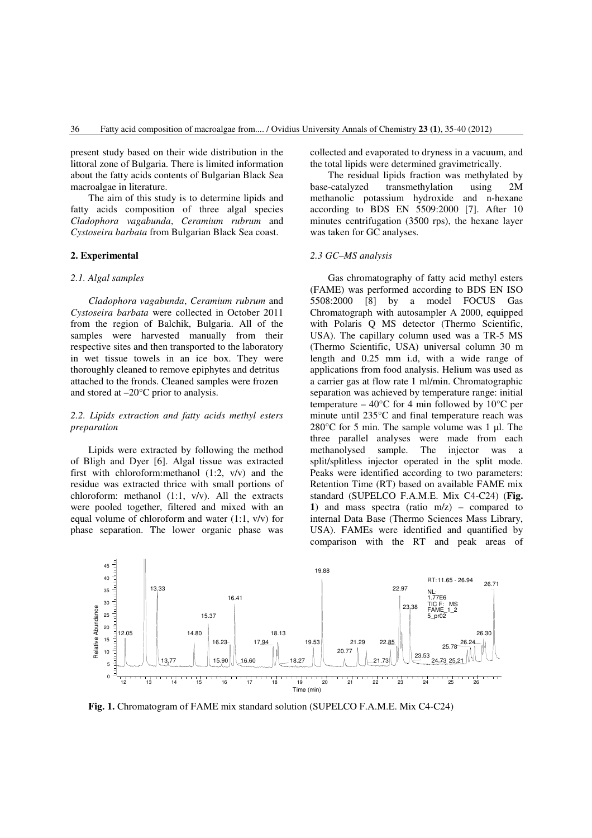present study based on their wide distribution in the littoral zone of Bulgaria. There is limited information about the fatty acids contents of Bulgarian Black Sea macroalgae in literature.

The aim of this study is to determine lipids and fatty acids composition of three algal species *Cladophora vagabunda*, *Ceramium rubrum* and *Cystoseira barbata* from Bulgarian Black Sea coast.

## **2. Experimental**

#### *2.1. Algal samples*

*Cladophora vagabunda*, *Ceramium rubrum* and *Cystoseira barbata* were collected in October 2011 from the region of Balchik, Bulgaria. All of the samples were harvested manually from their respective sites and then transported to the laboratory in wet tissue towels in an ice box. They were thoroughly cleaned to remove epiphytes and detritus attached to the fronds. Cleaned samples were frozen and stored at –20°C prior to analysis.

# *2.2. Lipids extraction and fatty acids methyl esters preparation*

Lipids were extracted by following the method of Bligh and Dyer [6]. Algal tissue was extracted first with chloroform:methanol (1:2, v/v) and the residue was extracted thrice with small portions of chloroform: methanol (1:1, v/v). All the extracts were pooled together, filtered and mixed with an equal volume of chloroform and water (1:1, v/v) for phase separation. The lower organic phase was

collected and evaporated to dryness in a vacuum, and the total lipids were determined gravimetrically.

The residual lipids fraction was methylated by base-catalyzed transmethylation using 2M methanolic potassium hydroxide and n-hexane according to BDS EN 5509:2000 [7]. After 10 minutes centrifugation (3500 rps), the hexane layer was taken for GC analyses.

### *2.3 GC–MS analysis*

Gas chromatography of fatty acid methyl esters (FAME) was performed according to BDS EN ISO 5508:2000 [8] by a model FOCUS Gas Chromatograph with autosampler A 2000, equipped with Polaris Q MS detector (Thermo Scientific, USA). The capillary column used was a TR-5 MS (Thermo Scientific, USA) universal column 30 m length and 0.25 mm i.d, with a wide range of applications from food analysis. Helium was used as a carrier gas at flow rate 1 ml/min. Chromatographic separation was achieved by temperature range: initial temperature – 40 $^{\circ}$ C for 4 min followed by 10 $^{\circ}$ C per minute until 235°C and final temperature reach was  $280^{\circ}$ C for 5 min. The sample volume was 1 µl. The three parallel analyses were made from each methanolysed sample. The injector was a split/splitless injector operated in the split mode. Peaks were identified according to two parameters: Retention Time (RT) based on available FAME mix standard (SUPELCO F.A.M.E. Mix C4-C24) (**Fig. 1**) and mass spectra (ratio m/z) – compared to internal Data Base (Thermo Sciences Mass Library, USA). FAMEs were identified and quantified by comparison with the RT and peak areas of



 **Fig. 1.** Chromatogram of FAME mix standard solution (SUPELCO F.A.M.E. Mix C4-C24)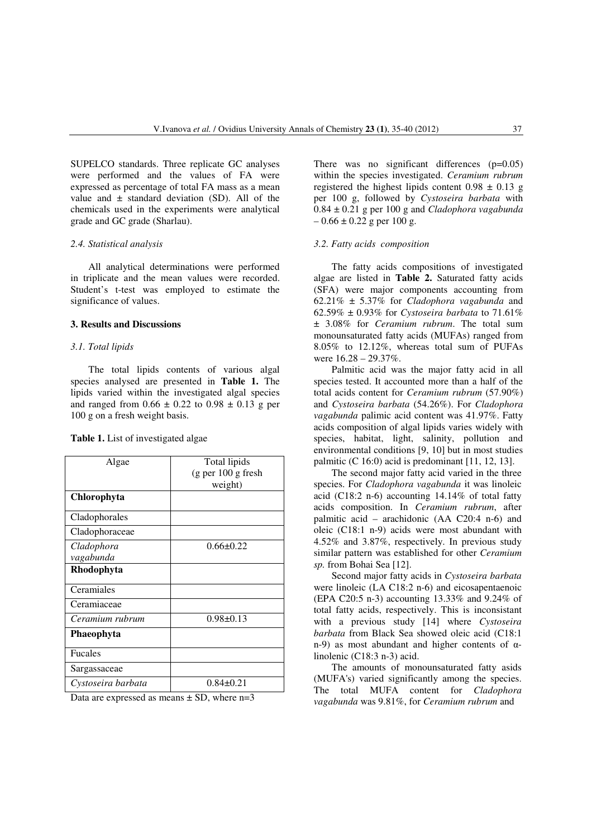SUPELCO standards. Three replicate GC analyses were performed and the values of FA were expressed as percentage of total FA mass as a mean value and  $\pm$  standard deviation (SD). All of the chemicals used in the experiments were analytical grade and GC grade (Sharlau).

#### *2.4. Statistical analysis*

All analytical determinations were performed in triplicate and the mean values were recorded. Student's t-test was employed to estimate the significance of values.

### **3. Results and Discussions**

# *3.1. Total lipids*

The total lipids contents of various algal species analysed are presented in **Table 1.** The lipids varied within the investigated algal species and ranged from  $0.66 \pm 0.22$  to  $0.98 \pm 0.13$  g per 100 g on a fresh weight basis.

|  |  |  |  | <b>Table 1.</b> List of investigated algae |  |  |
|--|--|--|--|--------------------------------------------|--|--|
|--|--|--|--|--------------------------------------------|--|--|

| Algae              | Total lipids        |  |
|--------------------|---------------------|--|
|                    | (g per 100 g fresh) |  |
|                    | weight)             |  |
| Chlorophyta        |                     |  |
| Cladophorales      |                     |  |
| Cladophoraceae     |                     |  |
| Cladophora         | $0.66 \pm 0.22$     |  |
| vagabunda          |                     |  |
| Rhodophyta         |                     |  |
| Ceramiales         |                     |  |
| Ceramiaceae        |                     |  |
| Ceramium rubrum    | $0.98 \pm 0.13$     |  |
| Phaeophyta         |                     |  |
| <b>Fucales</b>     |                     |  |
| Sargassaceae       |                     |  |
| Cystoseira barbata | $0.84 \pm 0.21$     |  |

Data are expressed as means  $\pm$  SD, where n=3

There was no significant differences  $(p=0.05)$ within the species investigated. *Ceramium rubrum* registered the highest lipids content  $0.98 \pm 0.13$  g per 100 g, followed by *Cystoseira barbata* with 0.84 ± 0.21 g per 100 g and *Cladophora vagabunda*  $-0.66 \pm 0.22$  g per 100 g.

#### *3.2. Fatty acids composition*

The fatty acids compositions of investigated algae are listed in **Table 2.** Saturated fatty acids (SFA) were major components accounting from 62.21% ± 5.37% for *Cladophora vagabunda* and 62.59% ± 0.93% for *Cystoseira barbata* to 71.61% ± 3.08% for *Ceramium rubrum*. The total sum monounsaturated fatty acids (MUFAs) ranged from 8.05% to 12.12%, whereas total sum of PUFAs were 16.28 – 29.37%.

 Palmitic acid was the major fatty acid in all species tested. It accounted more than a half of the total acids content for *Ceramium rubrum* (57.90%) and *Cystoseira barbata* (54.26%). For *Cladophora vagabunda* palimic acid content was 41.97%. Fatty acids composition of algal lipids varies widely with species, habitat, light, salinity, pollution and environmental conditions [9, 10] but in most studies palmitic (C 16:0) acid is predominant [11, 12, 13].

The second major fatty acid varied in the three species. For *Cladophora vagabunda* it was linoleic acid (C18:2 n-6) accounting 14.14% of total fatty acids composition. In *Ceramium rubrum*, after palmitic acid – arachidonic (AA C20:4 n-6) and oleic (C18:1 n-9) acids were most abundant with 4.52% and 3.87%, respectively. In previous study similar pattern was established for other *Ceramium sp.* from Bohai Sea [12].

Second major fatty acids in *Cystoseira barbata* were linoleic (LA C18:2 n-6) and eicosapentaenoic (EPA C20:5 n-3) accounting 13.33% and 9.24% of total fatty acids, respectively. This is inconsistant with a previous study [14] where *Cystoseira barbata* from Black Sea showed oleic acid (C18:1 n-9) as most abundant and higher contents of  $α$ linolenic (C18:3 n-3) acid.

The amounts of monounsaturated fatty asids (MUFA's) varied significantly among the species. The total MUFA content for *Cladophora vagabunda* was 9.81%, for *Ceramium rubrum* and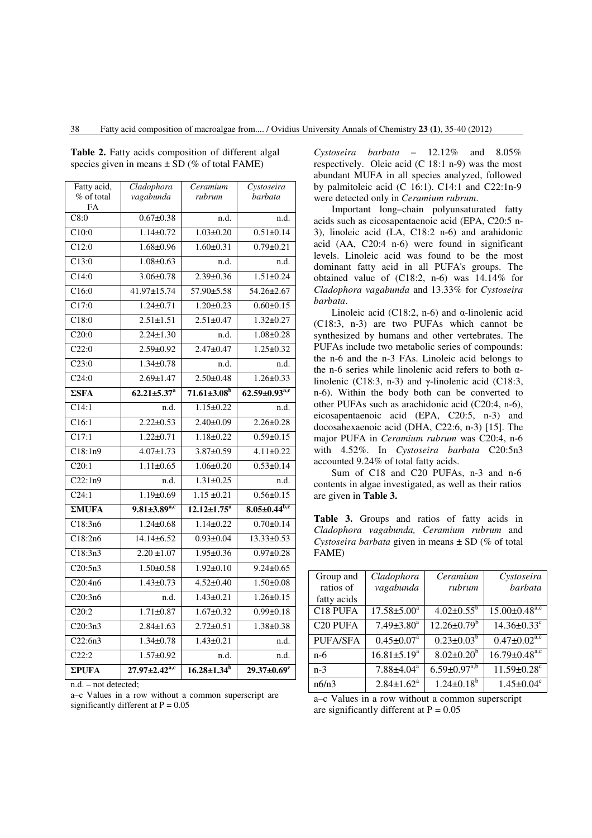| Fatty acid,        | Cladophora                      | Ceramium                      | Cystoseira                    |
|--------------------|---------------------------------|-------------------------------|-------------------------------|
| % of total         | vagabunda                       | rubrum                        | barbata                       |
| FA<br>C8:0         | $0.67 \pm 0.38$                 | n.d.                          | n.d.                          |
| C10:0              | $1.14 \pm 0.72$                 | $1.03 \pm 0.20$               | $0.51 \pm 0.14$               |
|                    |                                 |                               |                               |
| C12:0              | $1.68 + 0.96$                   | $1.60 \pm 0.31$               | $0.79 \pm 0.21$               |
| C13:0              | $1.08 + 0.63$                   | n.d.                          | n.d.                          |
| C14:0              | $3.06 \pm 0.78$                 | $2.39 \pm 0.36$               | $1.51 \pm 0.24$               |
| C16:0              | 41.97±15.74                     | 57.90±5.58                    | $54.26 \pm 2.67$              |
| C17:0              | $1.24 \pm 0.71$                 | $1.20 \pm 0.23$               | $0.60 \pm 0.15$               |
| C18:0              | $2.51 \pm 1.51$                 | $2.51 \pm 0.47$               | $1.32 \pm 0.27$               |
| C20:0              | $2.24 \pm 1.30$                 | n.d.                          | $1.08 + 0.28$                 |
| C22:0              | $2.59 \pm 0.92$                 | $2.47 \pm 0.47$               | $1.25 \pm 0.32$               |
| C23:0              | $1.34 \pm 0.78$                 | n.d.                          | n.d.                          |
| C24:0              | $2.69 \pm 1.47$                 | $2.50 \pm 0.48$               | $1.26 \pm 0.33$               |
| $\Sigma$ SFA       | $62.21 \pm 5.37^{\mathrm{a}}$   | $71.61\pm3.08^{\rm b}$        | $62.59 \pm 0.93^{\text{a,c}}$ |
| C14:1              | n.d.                            | $1.15 \pm 0.22$               | n.d.                          |
| $\overline{C16:1}$ | $2.22 \pm 0.53$                 | $2.40 \pm 0.09$               | $2.26 \pm 0.28$               |
| C17:1              | $1.22 \pm 0.71$                 | $1.18 \pm 0.22$               | $0.59 \pm 0.15$               |
| C18:1n9            | $4.07 \pm 1.73$                 | 3.87±0.59                     | $4.11 \pm 0.22$               |
| C20:1              | $1.11 \pm 0.65$                 | $1.06 \pm 0.20$               | $0.53 \pm 0.14$               |
| C22:1n9            | n.d.                            | $1.31 \pm 0.25$               | n.d.                          |
| C24:1              | $1.19 \pm 0.69$                 | $1.15 \pm 0.21$               | $0.56 \pm 0.15$               |
| $\Sigma MUFA$      | $9.81 \pm 3.89^{\text{a,c}}$    | $12.12 \pm 1.75^a$            | $8.05 \pm 0.44^{b,c}$         |
| C18:3n6            | $1.24 \pm 0.68$                 | $1.14 \pm 0.22$               | $0.70 \pm 0.14$               |
| Cl8:2n6            | 14.14±6.52                      | $0.93 \pm 0.04$               | $13.33 \pm 0.53$              |
| Cl8:3n3            | $2.20 \pm 1.07$                 | $1.95 \pm 0.36$               | $0.97 \pm 0.28$               |
| C20:5n3            | $1.50 \pm 0.58$                 | $1.92 \pm 0.10$               | $9.24 \pm 0.65$               |
| C20:4n6            | $1.43 \pm 0.73$                 | $4.52 \pm 0.40$               | $1.50 \pm 0.08$               |
| C20:3n6            | n.d.                            | $1.43 \pm 0.21$               | $1.26 \pm 0.15$               |
| C20:2              | $1.71 \pm 0.87$                 | $1.67 \pm 0.32$               | $0.99 \pm 0.18$               |
| C20:3n3            | $2.84 \pm 1.63$                 | $2.72 \pm 0.51$               | $1.38 + 0.38$                 |
| C22:6n3            | $1.34 \pm 0.78$                 | $1.43 \pm 0.21$               | n.d.                          |
| C22:2              | $1.57 \pm 0.92$                 | n.d.                          | n.d.                          |
| $\Sigma$ PUFA      | $27.97 \pm 2.42^{\mathrm{a,c}}$ | $16.28 \pm 1.34$ <sup>b</sup> | $29.37 \pm 0.69$ <sup>c</sup> |

**Table 2.** Fatty acids composition of different algal species given in means  $\pm$  SD (% of total FAME)

n.d. – not detected;

a–c Values in a row without a common superscript are significantly different at  $P = 0.05$ 

*Cystoseira barbata* – 12.12% and 8.05% respectively. Oleic acid  $(C 18:1 n-9)$  was the most abundant MUFA in all species analyzed, followed by palmitoleic acid (C 16:1). C14:1 and C22:1n-9 were detected only in *Ceramium rubrum*.

Important long–chain polyunsaturated fatty acids such as eicosapentaenoic acid (EPA, C20:5 n-3), linoleic acid (LA, C18:2 n-6) and arahidonic acid (AA, C20:4 n-6) were found in significant levels. Linoleic acid was found to be the most dominant fatty acid in all PUFA's groups. The obtained value of (C18:2, n-6) was 14.14% for *Cladophora vagabunda* and 13.33% for *Cystoseira barbata*.

Linoleic acid (C18:2, n-6) and  $\alpha$ -linolenic acid (C18:3, n-3) are two PUFAs which cannot be synthesized by humans and other vertebrates. The PUFAs include two metabolic series of compounds: the n-6 and the n-3 FAs. Linoleic acid belongs to the n-6 series while linolenic acid refers to both αlinolenic (C18:3, n-3) and γ-linolenic acid (C18:3, n-6). Within the body both can be converted to other PUFAs such as arachidonic acid (C20:4, n-6), eicosapentaenoic acid (EPA, C20:5, n-3) and docosahexaenoic acid (DHA, C22:6, n-3) [15]. The major PUFA in *Ceramium rubrum* was C20:4, n-6 with 4.52%. In *Cystoseira barbata* C20:5n3 accounted 9.24% of total fatty acids.

Sum of C18 and C20 PUFAs, n-3 and n-6 contents in algae investigated, as well as their ratios are given in **Table 3.**

**Table 3.** Groups and ratios of fatty acids in *Cladophora vagabunda, Ceramium rubrum* and *Cystoseira barbata* given in means ± SD (% of total FAME)

| Group and            | Cladophora         | Ceramium                      | Cystoseira                      |
|----------------------|--------------------|-------------------------------|---------------------------------|
| ratios of            | vagabunda          | rubrum                        | barbata                         |
| fatty acids          |                    |                               |                                 |
| C18 PUFA             | $17.58 \pm 5.00^a$ | $4.02 \pm 0.55^{\rm b}$       | $15.00 \pm 0.48$ <sup>a,c</sup> |
| C <sub>20</sub> PUFA | $7.49 \pm 3.80^a$  | $12.26 \pm 0.79$ <sup>b</sup> | $14.36 \pm 0.33$ <sup>c</sup>   |
| <b>PUFA/SFA</b>      | $0.45 \pm 0.07^a$  | $0.23 \pm 0.03^b$             | $0.47 \pm 0.02$ <sup>a,c</sup>  |
| $n-6$                | $16.81 \pm 5.19^a$ | $8.02 \pm 0.20^b$             | $16.79 \pm 0.48$ <sup>a,c</sup> |
| $n-3$                | $7.88{\pm}4.04^a$  | $6.59 \pm 0.97^{a,b}$         | $11.59 \pm 0.28$ <sup>c</sup>   |
| n6/n3                | $2.84 \pm 1.62^a$  | $1.24 \pm 0.18^b$             | $1.45 \pm 0.04$ <sup>c</sup>    |
|                      |                    |                               |                                 |

a–c Values in a row without a common superscript are significantly different at  $P = 0.05$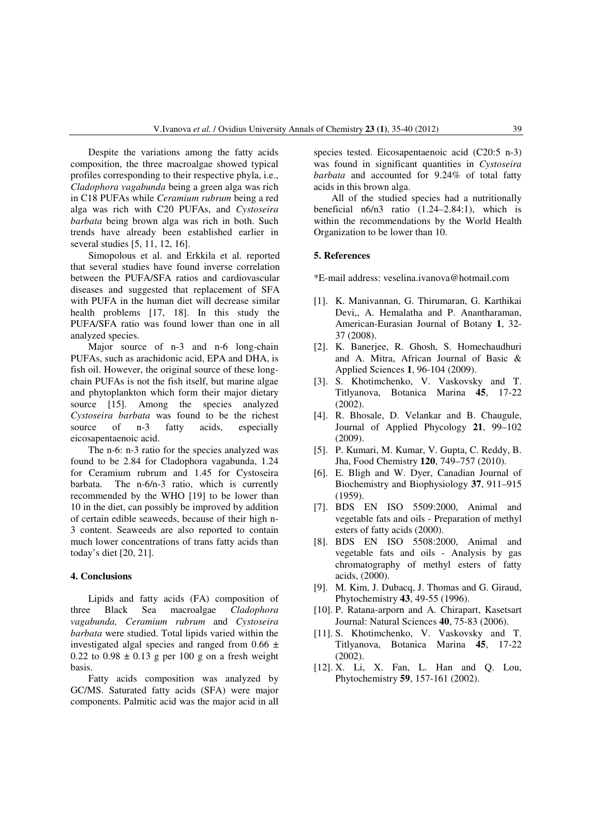Despite the variations among the fatty acids composition, the three macroalgae showed typical profiles corresponding to their respective phyla, i.e., *Cladophora vagabunda* being a green alga was rich in C18 PUFAs while *Ceramium rubrum* being a red alga was rich with C20 PUFAs, and *Cystoseira barbata* being brown alga was rich in both. Such trends have already been established earlier in several studies [5, 11, 12, 16].

Simopolous et al. and Erkkila et al. reported that several studies have found inverse correlation between the PUFA/SFA ratios and cardiovascular diseases and suggested that replacement of SFA with PUFA in the human diet will decrease similar health problems [17, 18]. In this study the PUFA/SFA ratio was found lower than one in all analyzed species.

Major source of n-3 and n-6 long-chain PUFAs, such as arachidonic acid, EPA and DHA, is fish oil. However, the original source of these longchain PUFAs is not the fish itself, but marine algae and phytoplankton which form their major dietary source [15]. Among the species analyzed *Cystoseira barbata* was found to be the richest source of n-3 fatty acids, especially eicosapentaenoic acid.

The n-6: n-3 ratio for the species analyzed was found to be 2.84 for Cladophora vagabunda, 1.24 for Ceramium rubrum and 1.45 for Cystoseira barbata. The n-6/n-3 ratio, which is currently recommended by the WHO [19] to be lower than 10 in the diet, can possibly be improved by addition of certain edible seaweeds, because of their high n-3 content. Seaweeds are also reported to contain much lower concentrations of trans fatty acids than today's diet [20, 21].

#### **4. Conclusions**

Lipids and fatty acids (FA) composition of three Black Sea macroalgae *Cladophora vagabunda, Ceramium rubrum* and *Cystoseira barbata* were studied. Total lipids varied within the investigated algal species and ranged from  $0.66 \pm$  $0.22$  to  $0.98 \pm 0.13$  g per 100 g on a fresh weight basis.

Fatty acids composition was analyzed by GC/MS. Saturated fatty acids (SFA) were major components. Palmitic acid was the major acid in all species tested. Eicosapentaenoic acid (C20:5 n-3) was found in significant quantities in *Cystoseira barbata* and accounted for 9.24% of total fatty acids in this brown alga.

All of the studied species had a nutritionally beneficial  $n6/n3$  ratio  $(1.24-2.84:1)$ , which is within the recommendations by the World Health Organization to be lower than 10.

## **5. References**

\*E-mail address: veselina.ivanova@hotmail.com

- [1]. K. Manivannan, G. Thirumaran, G. Karthikai Devi, A. Hemalatha and P. Anantharaman, American-Eurasian Journal of Botany **1**, 32- 37 (2008).
- [2]. K. Banerjee, R. Ghosh, S. Homechaudhuri and A. Mitra, African Journal of Basic & Applied Sciences **1**, 96-104 (2009).
- [3]. S. Khotimchenko, V. Vaskovsky and T. Titlyanova, Botanica Marina **45**, 17-22 (2002).
- [4]. R. Bhosale, D. Velankar and B. Chaugule, Journal of Applied Phycology **21**, 99–102 (2009).
- [5]. P. Kumari, M. Kumar, V. Gupta, C. Reddy, B. Jha, Food Chemistry **120**, 749–757 (2010).
- [6]. E. Bligh and W. Dyer, Canadian Journal of Biochemistry and Biophysiology **37**, 911–915 (1959).
- [7]. BDS EN ISO 5509:2000, Animal and vegetable fats and oils - Preparation of methyl esters of fatty acids (2000).
- [8]. BDS EN ISO 5508:2000, Animal and vegetable fats and oils - Analysis by gas chromatography of methyl esters of fatty acids, (2000).
- [9]. M. Kim, J. Dubacq, J. Thomas and G. Giraud, Phytochemistry **43**, 49-55 (1996).
- [10]. P. Ratana-arporn and A. Chirapart, Kasetsart Journal: Natural Sciences **40**, 75-83 (2006).
- [11]. S. Khotimchenko, V. Vaskovsky and T. Titlyanova, Botanica Marina **45**, 17-22 (2002).
- [12]. X. Li, X. Fan, L. Han and Q. Lou, Phytochemistry **59**, 157-161 (2002).